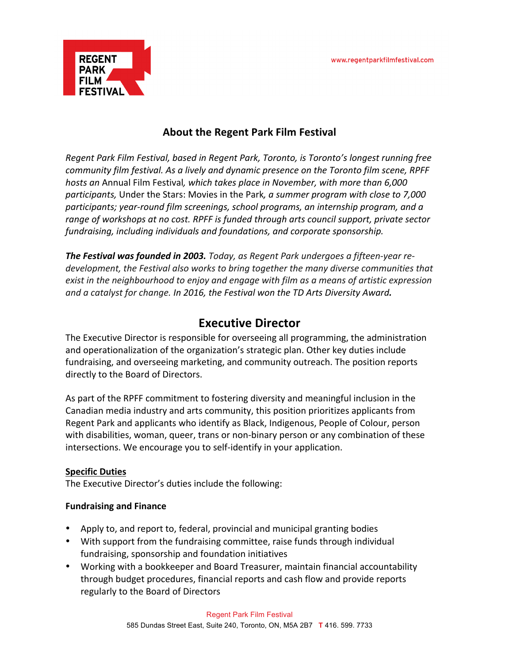

# **About the Regent Park Film Festival**

*Regent Park Film Festival, based in Regent Park, Toronto, is Toronto's longest running free community film festival. As a lively and dynamic presence on the Toronto film scene, RPFF hosts* an Annual Film Festival, which takes place in November, with more than 6,000 *participants,* Under the Stars: Movies in the Park, a summer program with close to 7,000 *participants; year-round film screenings, school programs, an internship program, and a*  range of workshops at no cost. RPFF is funded through arts council support, private sector *fundraising, including individuals and foundations, and corporate sponsorship.* 

**The Festival was founded in 2003.** Today, as Regent Park undergoes a fifteen-year redevelopment, the Festival also works to bring together the many diverse communities that exist in the neighbourhood to enjoy and engage with film as a means of artistic expression *and a catalyst for change. In 2016, the Festival won the TD Arts Diversity Award.* 

# **Executive Director**

The Executive Director is responsible for overseeing all programming, the administration and operationalization of the organization's strategic plan. Other key duties include fundraising, and overseeing marketing, and community outreach. The position reports directly to the Board of Directors.

As part of the RPFF commitment to fostering diversity and meaningful inclusion in the Canadian media industry and arts community, this position prioritizes applicants from Regent Park and applicants who identify as Black, Indigenous, People of Colour, person with disabilities, woman, queer, trans or non-binary person or any combination of these intersections. We encourage you to self-identify in your application.

## **Specific Duties**

The Executive Director's duties include the following:

## **Fundraising and Finance**

- Apply to, and report to, federal, provincial and municipal granting bodies
- With support from the fundraising committee, raise funds through individual fundraising, sponsorship and foundation initiatives
- Working with a bookkeeper and Board Treasurer, maintain financial accountability through budget procedures, financial reports and cash flow and provide reports regularly to the Board of Directors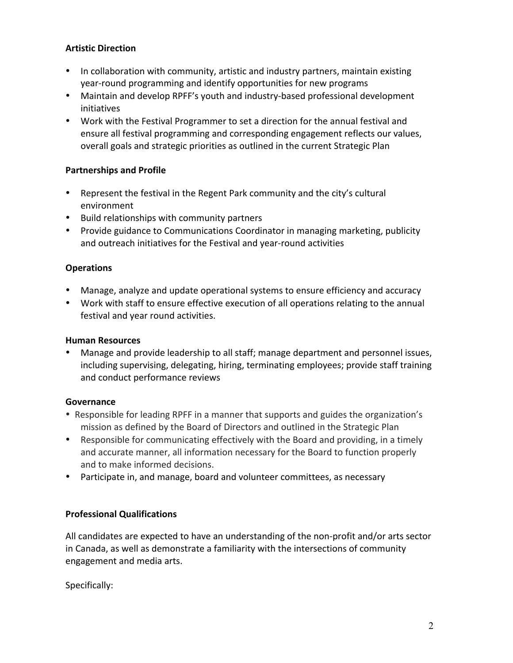# **Artistic Direction**

- In collaboration with community, artistic and industry partners, maintain existing year-round programming and identify opportunities for new programs
- Maintain and develop RPFF's youth and industry-based professional development initiatives
- Work with the Festival Programmer to set a direction for the annual festival and ensure all festival programming and corresponding engagement reflects our values, overall goals and strategic priorities as outlined in the current Strategic Plan

# **Partnerships and Profile**

- Represent the festival in the Regent Park community and the city's cultural environment
- Build relationships with community partners
- Provide guidance to Communications Coordinator in managing marketing, publicity and outreach initiatives for the Festival and year-round activities

## **Operations**

- Manage, analyze and update operational systems to ensure efficiency and accuracy
- Work with staff to ensure effective execution of all operations relating to the annual festival and year round activities.

## **Human Resources**

Manage and provide leadership to all staff; manage department and personnel issues, including supervising, delegating, hiring, terminating employees; provide staff training and conduct performance reviews

## **Governance**

- Responsible for leading RPFF in a manner that supports and guides the organization's mission as defined by the Board of Directors and outlined in the Strategic Plan
- Responsible for communicating effectively with the Board and providing, in a timely and accurate manner, all information necessary for the Board to function properly and to make informed decisions.
- Participate in, and manage, board and volunteer committees, as necessary

# **Professional Qualifications**

All candidates are expected to have an understanding of the non-profit and/or arts sector in Canada, as well as demonstrate a familiarity with the intersections of community engagement and media arts.

Specifically: